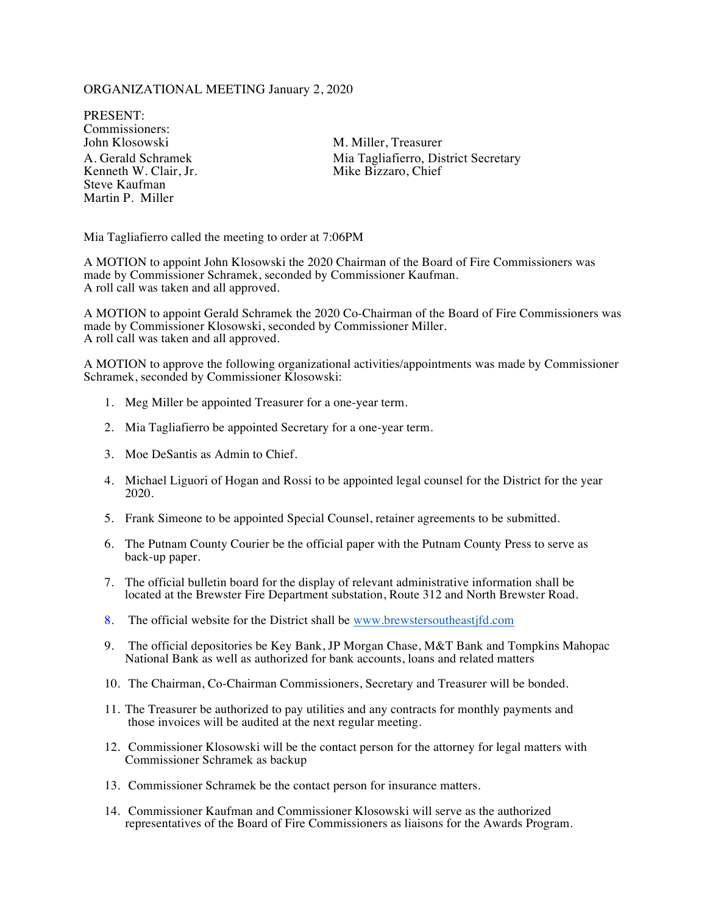### ORGANIZATIONAL MEETING January 2, 2020

PRESENT: Commissioners:<br>John Klosowski Kenneth W. Clair, Jr. Steve Kaufman Martin P. Miller

M. Miller, Treasurer A. Gerald Schramek Mia Tagliafierro, District Secretary<br>
Kenneth W. Clair, Jr. Mike Bizzaro, Chief

Mia Tagliafierro called the meeting to order at 7:06PM

A MOTION to appoint John Klosowski the 2020 Chairman of the Board of Fire Commissioners was made by Commissioner Schramek, seconded by Commissioner Kaufman. A roll call was taken and all approved.

A MOTION to appoint Gerald Schramek the 2020 Co-Chairman of the Board of Fire Commissioners was made by Commissioner Klosowski, seconded by Commissioner Miller. A roll call was taken and all approved.

A MOTION to approve the following organizational activities/appointments was made by Commissioner Schramek, seconded by Commissioner Klosowski:

- 1. Meg Miller be appointed Treasurer for a one-year term.
- 2. Mia Tagliafierro be appointed Secretary for a one-year term.
- 3. Moe DeSantis as Admin to Chief.
- 4. Michael Liguori of Hogan and Rossi to be appointed legal counsel for the District for the year 2020.
- 5. Frank Simeone to be appointed Special Counsel, retainer agreements to be submitted.
- 6. The Putnam County Courier be the official paper with the Putnam County Press to serve as back-up paper.
- 7. The official bulletin board for the display of relevant administrative information shall be located at the Brewster Fire Department substation, Route 312 and North Brewster Road.
- 8. The official website for the District shall be www.brewstersoutheastjfd.com
- 9. The official depositories be Key Bank, JP Morgan Chase, M&T Bank and Tompkins Mahopac National Bank as well as authorized for bank accounts, loans and related matters
- 10. The Chairman, Co-Chairman Commissioners, Secretary and Treasurer will be bonded.
- 11. The Treasurer be authorized to pay utilities and any contracts for monthly payments and those invoices will be audited at the next regular meeting.
- 12. Commissioner Klosowski will be the contact person for the attorney for legal matters with Commissioner Schramek as backup
- 13. Commissioner Schramek be the contact person for insurance matters.
- 14. Commissioner Kaufman and Commissioner Klosowski will serve as the authorized representatives of the Board of Fire Commissioners as liaisons for the Awards Program.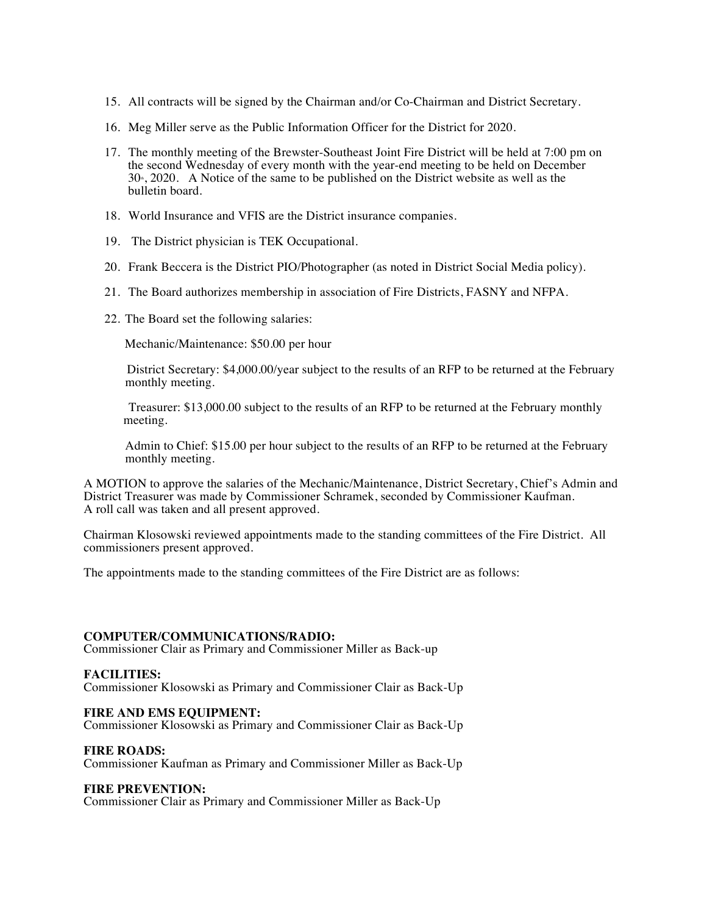- 15. All contracts will be signed by the Chairman and/or Co-Chairman and District Secretary.
- 16. Meg Miller serve as the Public Information Officer for the District for 2020.
- 17. The monthly meeting of the Brewster-Southeast Joint Fire District will be held at 7:00 pm on the second Wednesday of every month with the year-end meeting to be held on December  $30<sub>°</sub>$ , 2020. A Notice of the same to be published on the District website as well as the bulletin board.
- 18. World Insurance and VFIS are the District insurance companies.
- 19. The District physician is TEK Occupational.
- 20. Frank Beccera is the District PIO/Photographer (as noted in District Social Media policy).
- 21. The Board authorizes membership in association of Fire Districts, FASNY and NFPA.
- 22. The Board set the following salaries:

Mechanic/Maintenance: \$50.00 per hour

District Secretary: \$4,000.00/year subject to the results of an RFP to be returned at the February monthly meeting.

Treasurer: \$13,000.00 subject to the results of an RFP to be returned at the February monthly meeting.

Admin to Chief: \$15.00 per hour subject to the results of an RFP to be returned at the February monthly meeting.

A MOTION to approve the salaries of the Mechanic/Maintenance, District Secretary, Chief's Admin and District Treasurer was made by Commissioner Schramek, seconded by Commissioner Kaufman. A roll call was taken and all present approved.

Chairman Klosowski reviewed appointments made to the standing committees of the Fire District. All commissioners present approved.

The appointments made to the standing committees of the Fire District are as follows:

#### **COMPUTER/COMMUNICATIONS/RADIO:**

Commissioner Clair as Primary and Commissioner Miller as Back-up

## **FACILITIES:**

Commissioner Klosowski as Primary and Commissioner Clair as Back-Up

#### **FIRE AND EMS EQUIPMENT:**

Commissioner Klosowski as Primary and Commissioner Clair as Back-Up

#### **FIRE ROADS:**

Commissioner Kaufman as Primary and Commissioner Miller as Back-Up

## **FIRE PREVENTION:**

Commissioner Clair as Primary and Commissioner Miller as Back-Up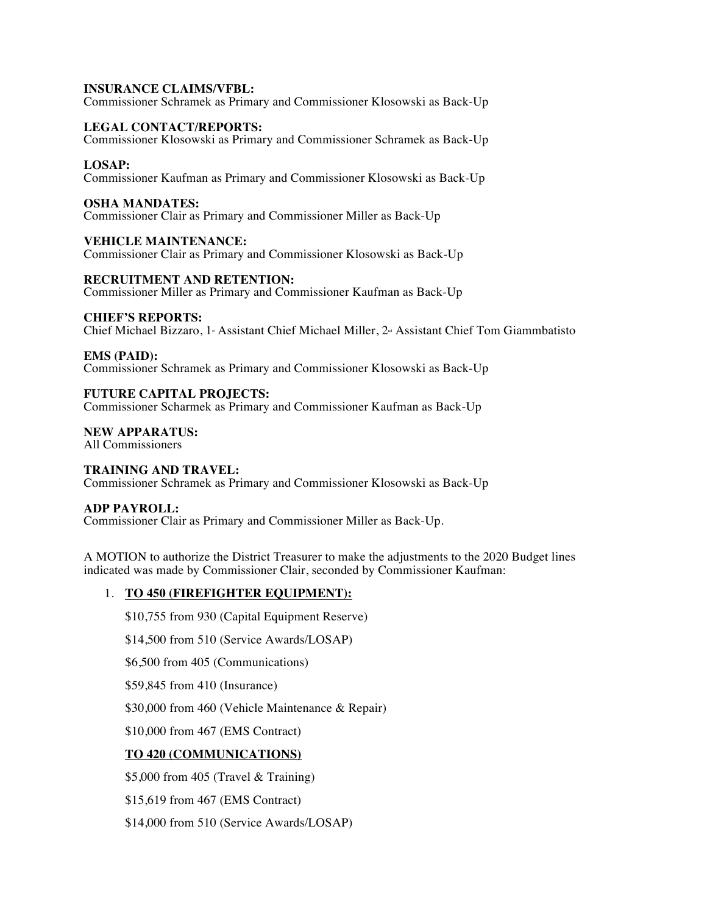### **INSURANCE CLAIMS/VFBL:**

Commissioner Schramek as Primary and Commissioner Klosowski as Back-Up

### **LEGAL CONTACT/REPORTS:**

Commissioner Klosowski as Primary and Commissioner Schramek as Back-Up

#### **LOSAP:**

Commissioner Kaufman as Primary and Commissioner Klosowski as Back-Up

#### **OSHA MANDATES:**

Commissioner Clair as Primary and Commissioner Miller as Back-Up

### **VEHICLE MAINTENANCE:**

Commissioner Clair as Primary and Commissioner Klosowski as Back-Up

### **RECRUITMENT AND RETENTION:**

Commissioner Miller as Primary and Commissioner Kaufman as Back-Up

### **CHIEF'S REPORTS:**

Chief Michael Bizzaro, 1<sup>®</sup> Assistant Chief Michael Miller, 2<sup>®</sup> Assistant Chief Tom Giammbatisto

### **EMS (PAID):**

Commissioner Schramek as Primary and Commissioner Klosowski as Back-Up

### **FUTURE CAPITAL PROJECTS:**

Commissioner Scharmek as Primary and Commissioner Kaufman as Back-Up

### **NEW APPARATUS:**

All Commissioners

# **TRAINING AND TRAVEL:**

Commissioner Schramek as Primary and Commissioner Klosowski as Back-Up

## **ADP PAYROLL:**

Commissioner Clair as Primary and Commissioner Miller as Back-Up.

A MOTION to authorize the District Treasurer to make the adjustments to the 2020 Budget lines indicated was made by Commissioner Clair, seconded by Commissioner Kaufman:

## 1. **TO 450 (FIREFIGHTER EQUIPMENT):**

\$10,755 from 930 (Capital Equipment Reserve)

\$14,500 from 510 (Service Awards/LOSAP)

\$6,500 from 405 (Communications)

\$59,845 from 410 (Insurance)

\$30,000 from 460 (Vehicle Maintenance & Repair)

\$10,000 from 467 (EMS Contract)

## **TO 420 (COMMUNICATIONS)**

\$5,000 from 405 (Travel & Training)

\$15,619 from 467 (EMS Contract)

\$14,000 from 510 (Service Awards/LOSAP)